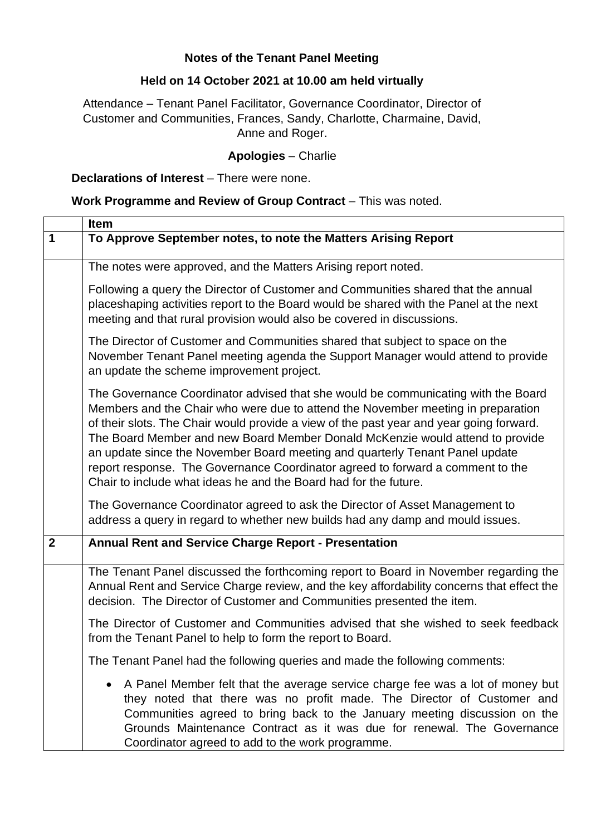### **Notes of the Tenant Panel Meeting**

# **Held on 14 October 2021 at 10.00 am held virtually**

Attendance – Tenant Panel Facilitator, Governance Coordinator, Director of Customer and Communities, Frances, Sandy, Charlotte, Charmaine, David, Anne and Roger.

### **Apologies** – Charlie

#### **Declarations of Interest** – There were none.

## **Work Programme and Review of Group Contract** – This was noted.

|              | Item                                                                                                                                                                                                                                                                                                                                                                                                                                                                                                                                                                                                                                                                    |
|--------------|-------------------------------------------------------------------------------------------------------------------------------------------------------------------------------------------------------------------------------------------------------------------------------------------------------------------------------------------------------------------------------------------------------------------------------------------------------------------------------------------------------------------------------------------------------------------------------------------------------------------------------------------------------------------------|
| $\mathbf 1$  | To Approve September notes, to note the Matters Arising Report                                                                                                                                                                                                                                                                                                                                                                                                                                                                                                                                                                                                          |
|              | The notes were approved, and the Matters Arising report noted.                                                                                                                                                                                                                                                                                                                                                                                                                                                                                                                                                                                                          |
|              | Following a query the Director of Customer and Communities shared that the annual<br>placeshaping activities report to the Board would be shared with the Panel at the next<br>meeting and that rural provision would also be covered in discussions.                                                                                                                                                                                                                                                                                                                                                                                                                   |
|              | The Director of Customer and Communities shared that subject to space on the<br>November Tenant Panel meeting agenda the Support Manager would attend to provide<br>an update the scheme improvement project.                                                                                                                                                                                                                                                                                                                                                                                                                                                           |
|              | The Governance Coordinator advised that she would be communicating with the Board<br>Members and the Chair who were due to attend the November meeting in preparation<br>of their slots. The Chair would provide a view of the past year and year going forward.<br>The Board Member and new Board Member Donald McKenzie would attend to provide<br>an update since the November Board meeting and quarterly Tenant Panel update<br>report response. The Governance Coordinator agreed to forward a comment to the<br>Chair to include what ideas he and the Board had for the future.<br>The Governance Coordinator agreed to ask the Director of Asset Management to |
|              | address a query in regard to whether new builds had any damp and mould issues.                                                                                                                                                                                                                                                                                                                                                                                                                                                                                                                                                                                          |
| $\mathbf{2}$ | <b>Annual Rent and Service Charge Report - Presentation</b>                                                                                                                                                                                                                                                                                                                                                                                                                                                                                                                                                                                                             |
|              | The Tenant Panel discussed the forthcoming report to Board in November regarding the<br>Annual Rent and Service Charge review, and the key affordability concerns that effect the<br>decision. The Director of Customer and Communities presented the item.                                                                                                                                                                                                                                                                                                                                                                                                             |
|              | The Director of Customer and Communities advised that she wished to seek feedback<br>from the Tenant Panel to help to form the report to Board.                                                                                                                                                                                                                                                                                                                                                                                                                                                                                                                         |
|              | The Tenant Panel had the following queries and made the following comments:                                                                                                                                                                                                                                                                                                                                                                                                                                                                                                                                                                                             |
|              | A Panel Member felt that the average service charge fee was a lot of money but<br>they noted that there was no profit made. The Director of Customer and<br>Communities agreed to bring back to the January meeting discussion on the<br>Grounds Maintenance Contract as it was due for renewal. The Governance<br>Coordinator agreed to add to the work programme.                                                                                                                                                                                                                                                                                                     |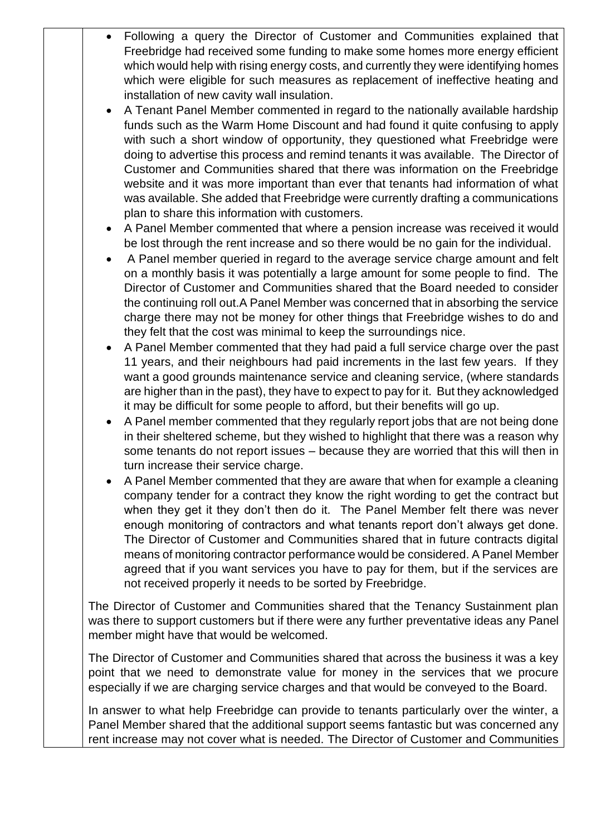- Following a query the Director of Customer and Communities explained that Freebridge had received some funding to make some homes more energy efficient which would help with rising energy costs, and currently they were identifying homes which were eligible for such measures as replacement of ineffective heating and installation of new cavity wall insulation.
- A Tenant Panel Member commented in regard to the nationally available hardship funds such as the Warm Home Discount and had found it quite confusing to apply with such a short window of opportunity, they questioned what Freebridge were doing to advertise this process and remind tenants it was available. The Director of Customer and Communities shared that there was information on the Freebridge website and it was more important than ever that tenants had information of what was available. She added that Freebridge were currently drafting a communications plan to share this information with customers.
- A Panel Member commented that where a pension increase was received it would be lost through the rent increase and so there would be no gain for the individual.
- A Panel member queried in regard to the average service charge amount and felt on a monthly basis it was potentially a large amount for some people to find. The Director of Customer and Communities shared that the Board needed to consider the continuing roll out.A Panel Member was concerned that in absorbing the service charge there may not be money for other things that Freebridge wishes to do and they felt that the cost was minimal to keep the surroundings nice.
- A Panel Member commented that they had paid a full service charge over the past 11 years, and their neighbours had paid increments in the last few years. If they want a good grounds maintenance service and cleaning service, (where standards are higher than in the past), they have to expect to pay for it. But they acknowledged it may be difficult for some people to afford, but their benefits will go up.
- A Panel member commented that they regularly report jobs that are not being done in their sheltered scheme, but they wished to highlight that there was a reason why some tenants do not report issues – because they are worried that this will then in turn increase their service charge.
- A Panel Member commented that they are aware that when for example a cleaning company tender for a contract they know the right wording to get the contract but when they get it they don't then do it. The Panel Member felt there was never enough monitoring of contractors and what tenants report don't always get done. The Director of Customer and Communities shared that in future contracts digital means of monitoring contractor performance would be considered. A Panel Member agreed that if you want services you have to pay for them, but if the services are not received properly it needs to be sorted by Freebridge.

The Director of Customer and Communities shared that the Tenancy Sustainment plan was there to support customers but if there were any further preventative ideas any Panel member might have that would be welcomed.

The Director of Customer and Communities shared that across the business it was a key point that we need to demonstrate value for money in the services that we procure especially if we are charging service charges and that would be conveyed to the Board.

In answer to what help Freebridge can provide to tenants particularly over the winter, a Panel Member shared that the additional support seems fantastic but was concerned any rent increase may not cover what is needed. The Director of Customer and Communities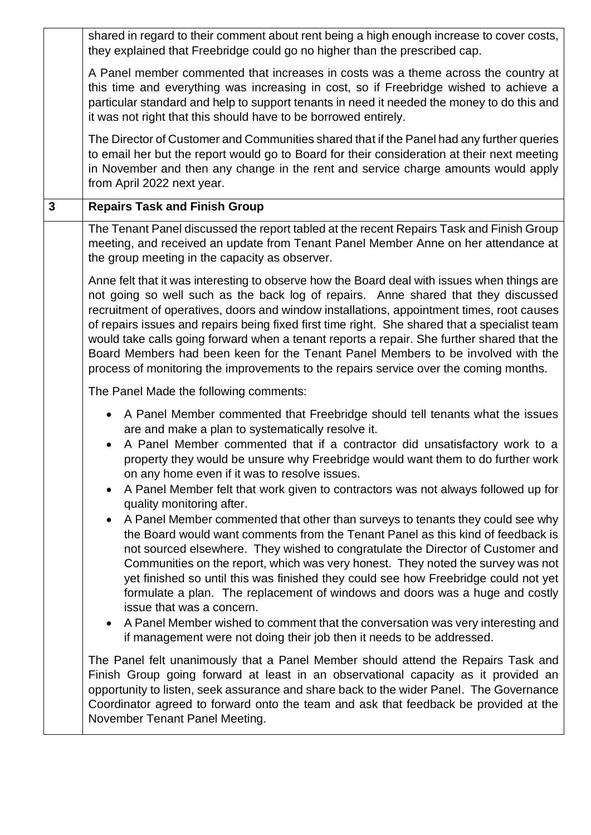|   | shared in regard to their comment about rent being a high enough increase to cover costs,<br>they explained that Freebridge could go no higher than the prescribed cap.                                                                                                                                                                                                                                                                                                                                                                                                                                                                                                                                                                                                                                                                                                                                                                                                                                                                                                                                                                                                                                        |
|---|----------------------------------------------------------------------------------------------------------------------------------------------------------------------------------------------------------------------------------------------------------------------------------------------------------------------------------------------------------------------------------------------------------------------------------------------------------------------------------------------------------------------------------------------------------------------------------------------------------------------------------------------------------------------------------------------------------------------------------------------------------------------------------------------------------------------------------------------------------------------------------------------------------------------------------------------------------------------------------------------------------------------------------------------------------------------------------------------------------------------------------------------------------------------------------------------------------------|
|   | A Panel member commented that increases in costs was a theme across the country at<br>this time and everything was increasing in cost, so if Freebridge wished to achieve a<br>particular standard and help to support tenants in need it needed the money to do this and<br>it was not right that this should have to be borrowed entirely.                                                                                                                                                                                                                                                                                                                                                                                                                                                                                                                                                                                                                                                                                                                                                                                                                                                                   |
|   | The Director of Customer and Communities shared that if the Panel had any further queries<br>to email her but the report would go to Board for their consideration at their next meeting<br>in November and then any change in the rent and service charge amounts would apply<br>from April 2022 next year.                                                                                                                                                                                                                                                                                                                                                                                                                                                                                                                                                                                                                                                                                                                                                                                                                                                                                                   |
| 3 | <b>Repairs Task and Finish Group</b>                                                                                                                                                                                                                                                                                                                                                                                                                                                                                                                                                                                                                                                                                                                                                                                                                                                                                                                                                                                                                                                                                                                                                                           |
|   | The Tenant Panel discussed the report tabled at the recent Repairs Task and Finish Group<br>meeting, and received an update from Tenant Panel Member Anne on her attendance at<br>the group meeting in the capacity as observer.                                                                                                                                                                                                                                                                                                                                                                                                                                                                                                                                                                                                                                                                                                                                                                                                                                                                                                                                                                               |
|   | Anne felt that it was interesting to observe how the Board deal with issues when things are<br>not going so well such as the back log of repairs. Anne shared that they discussed<br>recruitment of operatives, doors and window installations, appointment times, root causes<br>of repairs issues and repairs being fixed first time right. She shared that a specialist team<br>would take calls going forward when a tenant reports a repair. She further shared that the<br>Board Members had been keen for the Tenant Panel Members to be involved with the<br>process of monitoring the improvements to the repairs service over the coming months.                                                                                                                                                                                                                                                                                                                                                                                                                                                                                                                                                     |
|   | The Panel Made the following comments:                                                                                                                                                                                                                                                                                                                                                                                                                                                                                                                                                                                                                                                                                                                                                                                                                                                                                                                                                                                                                                                                                                                                                                         |
|   | • A Panel Member commented that Freebridge should tell tenants what the issues<br>are and make a plan to systematically resolve it.<br>A Panel Member commented that if a contractor did unsatisfactory work to a<br>$\bullet$<br>property they would be unsure why Freebridge would want them to do further work<br>on any home even if it was to resolve issues.<br>A Panel Member felt that work given to contractors was not always followed up for<br>quality monitoring after.<br>A Panel Member commented that other than surveys to tenants they could see why<br>$\bullet$<br>the Board would want comments from the Tenant Panel as this kind of feedback is<br>not sourced elsewhere. They wished to congratulate the Director of Customer and<br>Communities on the report, which was very honest. They noted the survey was not<br>yet finished so until this was finished they could see how Freebridge could not yet<br>formulate a plan. The replacement of windows and doors was a huge and costly<br>issue that was a concern.<br>• A Panel Member wished to comment that the conversation was very interesting and<br>if management were not doing their job then it needs to be addressed. |
|   | The Panel felt unanimously that a Panel Member should attend the Repairs Task and<br>Finish Group going forward at least in an observational capacity as it provided an<br>opportunity to listen, seek assurance and share back to the wider Panel. The Governance<br>Coordinator agreed to forward onto the team and ask that feedback be provided at the<br>November Tenant Panel Meeting.                                                                                                                                                                                                                                                                                                                                                                                                                                                                                                                                                                                                                                                                                                                                                                                                                   |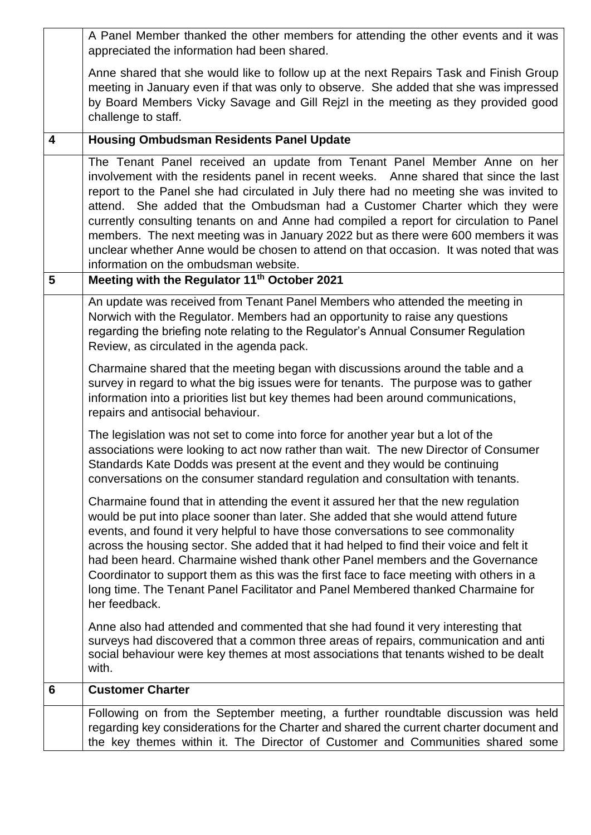|   | A Panel Member thanked the other members for attending the other events and it was<br>appreciated the information had been shared.                                                                                                                                                                                                                                                                                                                                                                                                                                                                                                                              |
|---|-----------------------------------------------------------------------------------------------------------------------------------------------------------------------------------------------------------------------------------------------------------------------------------------------------------------------------------------------------------------------------------------------------------------------------------------------------------------------------------------------------------------------------------------------------------------------------------------------------------------------------------------------------------------|
|   | Anne shared that she would like to follow up at the next Repairs Task and Finish Group<br>meeting in January even if that was only to observe. She added that she was impressed<br>by Board Members Vicky Savage and Gill Rejzl in the meeting as they provided good<br>challenge to staff.                                                                                                                                                                                                                                                                                                                                                                     |
| 4 | <b>Housing Ombudsman Residents Panel Update</b>                                                                                                                                                                                                                                                                                                                                                                                                                                                                                                                                                                                                                 |
|   | The Tenant Panel received an update from Tenant Panel Member Anne on her<br>involvement with the residents panel in recent weeks.  Anne shared that since the last<br>report to the Panel she had circulated in July there had no meeting she was invited to<br>attend. She added that the Ombudsman had a Customer Charter which they were<br>currently consulting tenants on and Anne had compiled a report for circulation to Panel<br>members. The next meeting was in January 2022 but as there were 600 members it was<br>unclear whether Anne would be chosen to attend on that occasion. It was noted that was<br>information on the ombudsman website. |
| 5 | Meeting with the Regulator 11 <sup>th</sup> October 2021                                                                                                                                                                                                                                                                                                                                                                                                                                                                                                                                                                                                        |
|   | An update was received from Tenant Panel Members who attended the meeting in<br>Norwich with the Regulator. Members had an opportunity to raise any questions<br>regarding the briefing note relating to the Regulator's Annual Consumer Regulation<br>Review, as circulated in the agenda pack.                                                                                                                                                                                                                                                                                                                                                                |
|   | Charmaine shared that the meeting began with discussions around the table and a<br>survey in regard to what the big issues were for tenants. The purpose was to gather<br>information into a priorities list but key themes had been around communications,<br>repairs and antisocial behaviour.                                                                                                                                                                                                                                                                                                                                                                |
|   | The legislation was not set to come into force for another year but a lot of the<br>associations were looking to act now rather than wait. The new Director of Consumer<br>Standards Kate Dodds was present at the event and they would be continuing<br>conversations on the consumer standard regulation and consultation with tenants.                                                                                                                                                                                                                                                                                                                       |
|   | Charmaine found that in attending the event it assured her that the new regulation<br>would be put into place sooner than later. She added that she would attend future<br>events, and found it very helpful to have those conversations to see commonality<br>across the housing sector. She added that it had helped to find their voice and felt it<br>had been heard. Charmaine wished thank other Panel members and the Governance<br>Coordinator to support them as this was the first face to face meeting with others in a<br>long time. The Tenant Panel Facilitator and Panel Membered thanked Charmaine for<br>her feedback.                         |
|   | Anne also had attended and commented that she had found it very interesting that<br>surveys had discovered that a common three areas of repairs, communication and anti<br>social behaviour were key themes at most associations that tenants wished to be dealt<br>with.                                                                                                                                                                                                                                                                                                                                                                                       |
| 6 | <b>Customer Charter</b>                                                                                                                                                                                                                                                                                                                                                                                                                                                                                                                                                                                                                                         |
|   | Following on from the September meeting, a further roundtable discussion was held<br>regarding key considerations for the Charter and shared the current charter document and<br>the key themes within it. The Director of Customer and Communities shared some                                                                                                                                                                                                                                                                                                                                                                                                 |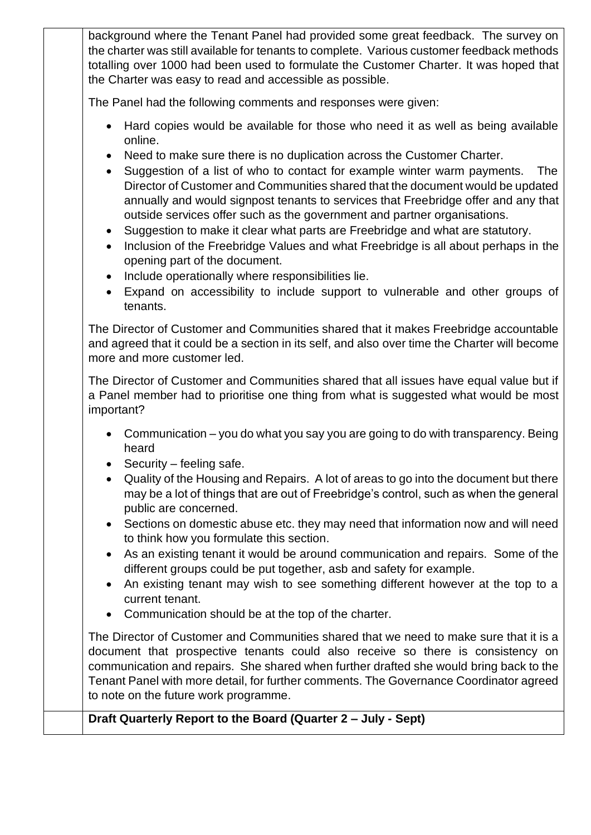background where the Tenant Panel had provided some great feedback. The survey on the charter was still available for tenants to complete. Various customer feedback methods totalling over 1000 had been used to formulate the Customer Charter. It was hoped that the Charter was easy to read and accessible as possible.

The Panel had the following comments and responses were given:

- Hard copies would be available for those who need it as well as being available online.
- Need to make sure there is no duplication across the Customer Charter.
- Suggestion of a list of who to contact for example winter warm payments. The Director of Customer and Communities shared that the document would be updated annually and would signpost tenants to services that Freebridge offer and any that outside services offer such as the government and partner organisations.
- Suggestion to make it clear what parts are Freebridge and what are statutory.
- Inclusion of the Freebridge Values and what Freebridge is all about perhaps in the opening part of the document.
- Include operationally where responsibilities lie.
- Expand on accessibility to include support to vulnerable and other groups of tenants.

The Director of Customer and Communities shared that it makes Freebridge accountable and agreed that it could be a section in its self, and also over time the Charter will become more and more customer led.

The Director of Customer and Communities shared that all issues have equal value but if a Panel member had to prioritise one thing from what is suggested what would be most important?

- Communication you do what you say you are going to do with transparency. Being heard
- Security feeling safe.
- Quality of the Housing and Repairs. A lot of areas to go into the document but there may be a lot of things that are out of Freebridge's control, such as when the general public are concerned.
- Sections on domestic abuse etc. they may need that information now and will need to think how you formulate this section.
- As an existing tenant it would be around communication and repairs. Some of the different groups could be put together, asb and safety for example.
- An existing tenant may wish to see something different however at the top to a current tenant.
- Communication should be at the top of the charter.

The Director of Customer and Communities shared that we need to make sure that it is a document that prospective tenants could also receive so there is consistency on communication and repairs. She shared when further drafted she would bring back to the Tenant Panel with more detail, for further comments. The Governance Coordinator agreed to note on the future work programme.

# **Draft Quarterly Report to the Board (Quarter 2 – July - Sept)**